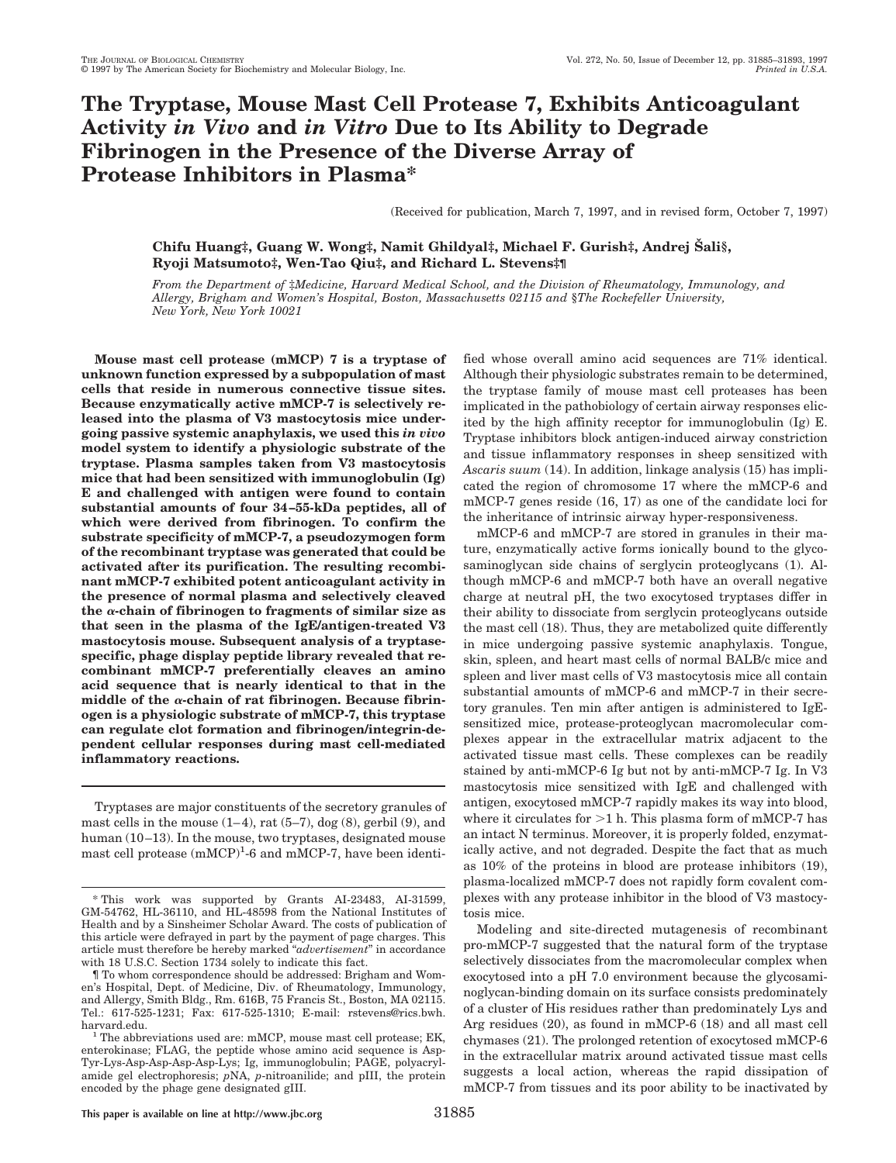# **The Tryptase, Mouse Mast Cell Protease 7, Exhibits Anticoagulant Activity** *in Vivo* **and** *in Vitro* **Due to Its Ability to Degrade Fibrinogen in the Presence of the Diverse Array of Protease Inhibitors in Plasma\***

(Received for publication, March 7, 1997, and in revised form, October 7, 1997)

# **Chifu Huang‡, Guang W. Wong‡, Namit Ghildyal‡, Michael F. Gurish‡, Andrej Sˇ ali§, Ryoji Matsumoto‡, Wen-Tao Qiu‡, and Richard L. Stevens‡¶**

*From the Department of* ‡*Medicine, Harvard Medical School, and the Division of Rheumatology, Immunology, and Allergy, Brigham and Women's Hospital, Boston, Massachusetts 02115 and* §*The Rockefeller University, New York, New York 10021*

**Mouse mast cell protease (mMCP) 7 is a tryptase of unknown function expressed by a subpopulation of mast cells that reside in numerous connective tissue sites. Because enzymatically active mMCP-7 is selectively released into the plasma of V3 mastocytosis mice undergoing passive systemic anaphylaxis, we used this** *in vivo* **model system to identify a physiologic substrate of the tryptase. Plasma samples taken from V3 mastocytosis mice that had been sensitized with immunoglobulin (Ig) E and challenged with antigen were found to contain substantial amounts of four 34–55-kDa peptides, all of which were derived from fibrinogen. To confirm the substrate specificity of mMCP-7, a pseudozymogen form of the recombinant tryptase was generated that could be activated after its purification. The resulting recombinant mMCP-7 exhibited potent anticoagulant activity in the presence of normal plasma and selectively cleaved the** <sup>a</sup>**-chain of fibrinogen to fragments of similar size as that seen in the plasma of the IgE/antigen-treated V3 mastocytosis mouse. Subsequent analysis of a tryptasespecific, phage display peptide library revealed that recombinant mMCP-7 preferentially cleaves an amino acid sequence that is nearly identical to that in the middle of the** <sup>a</sup>**-chain of rat fibrinogen. Because fibrinogen is a physiologic substrate of mMCP-7, this tryptase can regulate clot formation and fibrinogen/integrin-dependent cellular responses during mast cell-mediated inflammatory reactions.**

Tryptases are major constituents of the secretory granules of mast cells in the mouse  $(1-4)$ , rat  $(5-7)$ , dog  $(8)$ , gerbil  $(9)$ , and human (10–13). In the mouse, two tryptases, designated mouse mast cell protease (mMCP)<sup>1</sup>-6 and mMCP-7, have been identified whose overall amino acid sequences are 71% identical. Although their physiologic substrates remain to be determined, the tryptase family of mouse mast cell proteases has been implicated in the pathobiology of certain airway responses elicited by the high affinity receptor for immunoglobulin (Ig) E. Tryptase inhibitors block antigen-induced airway constriction and tissue inflammatory responses in sheep sensitized with *Ascaris suum* (14). In addition, linkage analysis (15) has implicated the region of chromosome 17 where the mMCP-6 and mMCP-7 genes reside (16, 17) as one of the candidate loci for the inheritance of intrinsic airway hyper-responsiveness.

mMCP-6 and mMCP-7 are stored in granules in their mature, enzymatically active forms ionically bound to the glycosaminoglycan side chains of serglycin proteoglycans (1). Although mMCP-6 and mMCP-7 both have an overall negative charge at neutral pH, the two exocytosed tryptases differ in their ability to dissociate from serglycin proteoglycans outside the mast cell (18). Thus, they are metabolized quite differently in mice undergoing passive systemic anaphylaxis. Tongue, skin, spleen, and heart mast cells of normal BALB/c mice and spleen and liver mast cells of V3 mastocytosis mice all contain substantial amounts of mMCP-6 and mMCP-7 in their secretory granules. Ten min after antigen is administered to IgEsensitized mice, protease-proteoglycan macromolecular complexes appear in the extracellular matrix adjacent to the activated tissue mast cells. These complexes can be readily stained by anti-mMCP-6 Ig but not by anti-mMCP-7 Ig. In V3 mastocytosis mice sensitized with IgE and challenged with antigen, exocytosed mMCP-7 rapidly makes its way into blood, where it circulates for  $>1$  h. This plasma form of mMCP-7 has an intact N terminus. Moreover, it is properly folded, enzymatically active, and not degraded. Despite the fact that as much as 10% of the proteins in blood are protease inhibitors (19), plasma-localized mMCP-7 does not rapidly form covalent complexes with any protease inhibitor in the blood of V3 mastocytosis mice.

Modeling and site-directed mutagenesis of recombinant pro-mMCP-7 suggested that the natural form of the tryptase selectively dissociates from the macromolecular complex when exocytosed into a pH 7.0 environment because the glycosaminoglycan-binding domain on its surface consists predominately of a cluster of His residues rather than predominately Lys and Arg residues (20), as found in mMCP-6 (18) and all mast cell chymases (21). The prolonged retention of exocytosed mMCP-6 in the extracellular matrix around activated tissue mast cells suggests a local action, whereas the rapid dissipation of mMCP-7 from tissues and its poor ability to be inactivated by

<sup>\*</sup> This work was supported by Grants AI-23483, AI-31599, GM-54762, HL-36110, and HL-48598 from the National Institutes of Health and by a Sinsheimer Scholar Award. The costs of publication of this article were defrayed in part by the payment of page charges. This article must therefore be hereby marked "*advertisement*" in accordance with 18 U.S.C. Section 1734 solely to indicate this fact.

<sup>¶</sup> To whom correspondence should be addressed: Brigham and Women's Hospital, Dept. of Medicine, Div. of Rheumatology, Immunology, and Allergy, Smith Bldg., Rm. 616B, 75 Francis St., Boston, MA 02115. Tel.: 617-525-1231; Fax: 617-525-1310; E-mail: rstevens@rics.bwh.

harvard.edu.  $1$  The abbreviations used are: mMCP, mouse mast cell protease; EK, enterokinase; FLAG, the peptide whose amino acid sequence is Asp-Tyr-Lys-Asp-Asp-Asp-Asp-Lys; Ig, immunoglobulin; PAGE, polyacrylamide gel electrophoresis; *p*NA, *p*-nitroanilide; and pIII, the protein encoded by the phage gene designated gIII.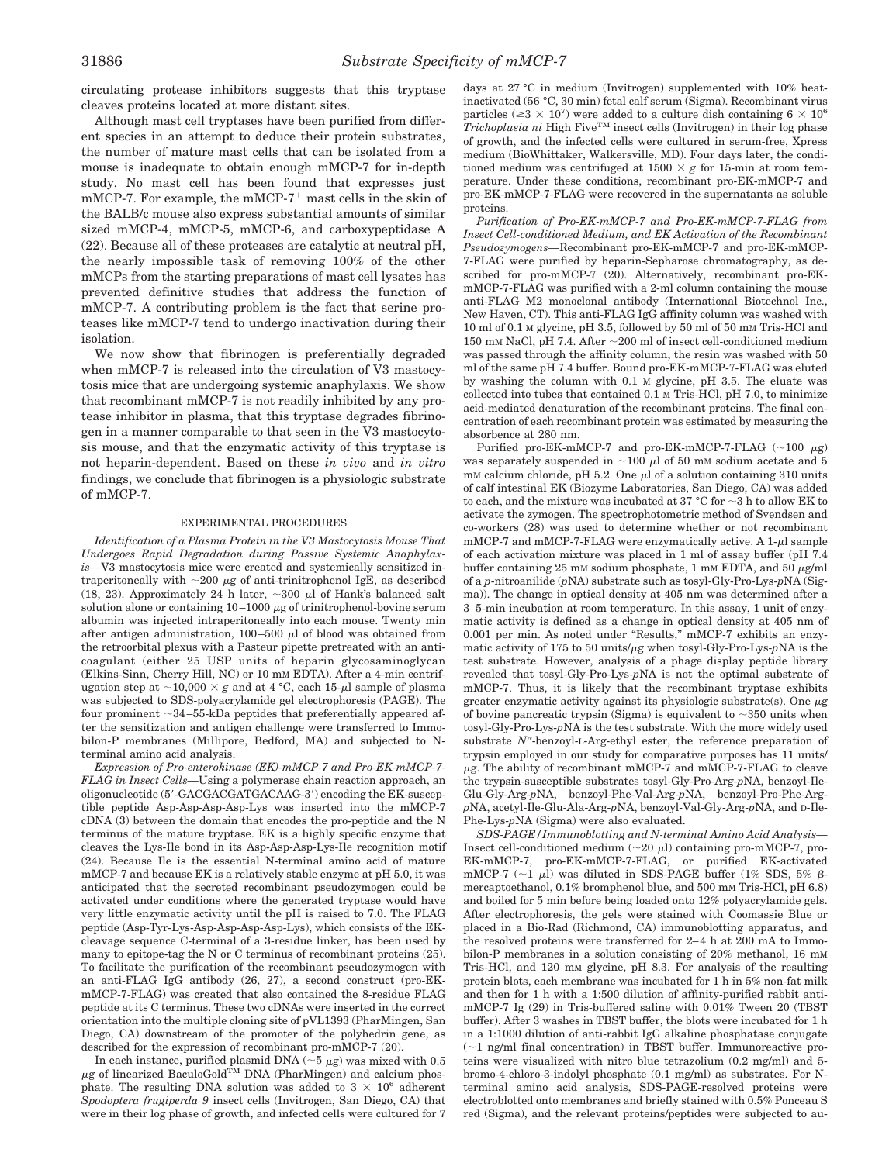circulating protease inhibitors suggests that this tryptase cleaves proteins located at more distant sites.

Although mast cell tryptases have been purified from different species in an attempt to deduce their protein substrates, the number of mature mast cells that can be isolated from a mouse is inadequate to obtain enough mMCP-7 for in-depth study. No mast cell has been found that expresses just  $mMCP-7$ . For example, the  $mMCP-7$ <sup>+</sup> mast cells in the skin of the BALB/c mouse also express substantial amounts of similar sized mMCP-4, mMCP-5, mMCP-6, and carboxypeptidase A (22). Because all of these proteases are catalytic at neutral pH, the nearly impossible task of removing 100% of the other mMCPs from the starting preparations of mast cell lysates has prevented definitive studies that address the function of mMCP-7. A contributing problem is the fact that serine proteases like mMCP-7 tend to undergo inactivation during their isolation.

We now show that fibrinogen is preferentially degraded when mMCP-7 is released into the circulation of V3 mastocytosis mice that are undergoing systemic anaphylaxis. We show that recombinant mMCP-7 is not readily inhibited by any protease inhibitor in plasma, that this tryptase degrades fibrinogen in a manner comparable to that seen in the V3 mastocytosis mouse, and that the enzymatic activity of this tryptase is not heparin-dependent. Based on these *in vivo* and *in vitro* findings, we conclude that fibrinogen is a physiologic substrate of mMCP-7.

### EXPERIMENTAL PROCEDURES

*Identification of a Plasma Protein in the V3 Mastocytosis Mouse That Undergoes Rapid Degradation during Passive Systemic Anaphylaxis—*V3 mastocytosis mice were created and systemically sensitized intraperitoneally with  $\sim$ 200  $\mu$ g of anti-trinitrophenol IgE, as described (18, 23). Approximately 24 h later,  $\sim 300 \mu l$  of Hank's balanced salt solution alone or containing  $10-1000 \mu$ g of trinitrophenol-bovine serum albumin was injected intraperitoneally into each mouse. Twenty min after antigen administration, 100-500  $\mu$ l of blood was obtained from the retroorbital plexus with a Pasteur pipette pretreated with an anticoagulant (either 25 USP units of heparin glycosaminoglycan (Elkins-Sinn, Cherry Hill, NC) or 10 mM EDTA). After a 4-min centrifugation step at  $\sim$ 10,000  $\times$  *g* and at 4 °C, each 15- $\mu$ l sample of plasma was subjected to SDS-polyacrylamide gel electrophoresis (PAGE). The four prominent  $\sim$ 34–55-kDa peptides that preferentially appeared after the sensitization and antigen challenge were transferred to Immobilon-P membranes (Millipore, Bedford, MA) and subjected to Nterminal amino acid analysis.

*Expression of Pro-enterokinase (EK)-mMCP-7 and Pro-EK-mMCP-7- FLAG in Insect Cells—*Using a polymerase chain reaction approach, an oligonucleotide (5'-GACGACGATGACAAG-3') encoding the EK-susceptible peptide Asp-Asp-Asp-Asp-Lys was inserted into the mMCP-7 cDNA (3) between the domain that encodes the pro-peptide and the N terminus of the mature tryptase. EK is a highly specific enzyme that cleaves the Lys-Ile bond in its Asp-Asp-Asp-Lys-Ile recognition motif (24). Because Ile is the essential N-terminal amino acid of mature mMCP-7 and because EK is a relatively stable enzyme at pH 5.0, it was anticipated that the secreted recombinant pseudozymogen could be activated under conditions where the generated tryptase would have very little enzymatic activity until the pH is raised to 7.0. The FLAG peptide (Asp-Tyr-Lys-Asp-Asp-Asp-Asp-Lys), which consists of the EKcleavage sequence C-terminal of a 3-residue linker, has been used by many to epitope-tag the N or C terminus of recombinant proteins (25). To facilitate the purification of the recombinant pseudozymogen with an anti-FLAG IgG antibody (26, 27), a second construct (pro-EKmMCP-7-FLAG) was created that also contained the 8-residue FLAG peptide at its C terminus. These two cDNAs were inserted in the correct orientation into the multiple cloning site of pVL1393 (PharMingen, San Diego, CA) downstream of the promoter of the polyhedrin gene, as described for the expression of recombinant pro-mMCP-7 (20).

In each instance, purified plasmid DNA ( $\sim$ 5  $\mu$ g) was mixed with 0.5  $\mu$ g of linearized BaculoGold<sup>TM</sup> DNA (PharMingen) and calcium phosphate. The resulting DNA solution was added to  $3 \times 10^6$  adherent *Spodoptera frugiperda 9* insect cells (Invitrogen, San Diego, CA) that were in their log phase of growth, and infected cells were cultured for 7 days at 27 °C in medium (Invitrogen) supplemented with 10% heatinactivated (56 °C, 30 min) fetal calf serum (Sigma). Recombinant virus particles ( $\geq 3 \times 10^7$ ) were added to a culture dish containing 6  $\times 10^6$  $Trichoplusia ni$  High Five<sup>TM</sup> insect cells (Invitrogen) in their log phase of growth, and the infected cells were cultured in serum-free, Xpress medium (BioWhittaker, Walkersville, MD). Four days later, the conditioned medium was centrifuged at  $1500 \times g$  for 15-min at room temperature. Under these conditions, recombinant pro-EK-mMCP-7 and pro-EK-mMCP-7-FLAG were recovered in the supernatants as soluble proteins.

*Purification of Pro-EK-mMCP-7 and Pro-EK-mMCP-7-FLAG from Insect Cell-conditioned Medium, and EK Activation of the Recombinant Pseudozymogens—*Recombinant pro-EK-mMCP-7 and pro-EK-mMCP-7-FLAG were purified by heparin-Sepharose chromatography, as described for pro-mMCP-7 (20). Alternatively, recombinant pro-EKmMCP-7-FLAG was purified with a 2-ml column containing the mouse anti-FLAG M2 monoclonal antibody (International Biotechnol Inc., New Haven, CT). This anti-FLAG IgG affinity column was washed with 10 ml of 0.1 M glycine, pH 3.5, followed by 50 ml of 50 mM Tris-HCl and 150 mm NaCl, pH 7.4. After  $\sim$  200 ml of insect cell-conditioned medium was passed through the affinity column, the resin was washed with 50 ml of the same pH 7.4 buffer. Bound pro-EK-mMCP-7-FLAG was eluted by washing the column with 0.1 M glycine, pH 3.5. The eluate was collected into tubes that contained 0.1 M Tris-HCl, pH 7.0, to minimize acid-mediated denaturation of the recombinant proteins. The final concentration of each recombinant protein was estimated by measuring the absorbence at 280 nm.

Purified pro-EK-mMCP-7 and pro-EK-mMCP-7-FLAG ( $\sim$ 100  $\mu$ g) was separately suspended in  $\sim$ 100  $\mu$ l of 50 mM sodium acetate and 5 mM calcium chloride, pH 5.2. One  $\mu$ l of a solution containing 310 units of calf intestinal EK (Biozyme Laboratories, San Diego, CA) was added to each, and the mixture was incubated at 37  $^{\circ}$ C for  $\sim$ 3 h to allow EK to activate the zymogen. The spectrophotometric method of Svendsen and co-workers (28) was used to determine whether or not recombinant  $mMCP-7$  and  $mMCP-7-FLAG$  were enzymatically active. A 1- $\mu$ l sample of each activation mixture was placed in 1 ml of assay buffer (pH 7.4 buffer containing 25 mM sodium phosphate, 1 mM EDTA, and 50  $\mu$ g/ml of a *p*-nitroanilide (*p*NA) substrate such as tosyl-Gly-Pro-Lys-*p*NA (Sigma)). The change in optical density at 405 nm was determined after a 3–5-min incubation at room temperature. In this assay, 1 unit of enzymatic activity is defined as a change in optical density at 405 nm of 0.001 per min. As noted under "Results," mMCP-7 exhibits an enzymatic activity of 175 to 50 units/ $\mu$ g when tosyl-Gly-Pro-Lys-*pNA* is the test substrate. However, analysis of a phage display peptide library revealed that tosyl-Gly-Pro-Lys-*p*NA is not the optimal substrate of mMCP-7. Thus, it is likely that the recombinant tryptase exhibits greater enzymatic activity against its physiologic substrate(s). One  $\mu$ g of bovine pancreatic trypsin (Sigma) is equivalent to  $\sim$ 350 units when tosyl-Gly-Pro-Lys-*p*NA is the test substrate. With the more widely used substrate  $N^{\alpha}$ -benzoyl-L-Arg-ethyl ester, the reference preparation of trypsin employed in our study for comparative purposes has 11 units/  $\mu$ g. The ability of recombinant mMCP-7 and mMCP-7-FLAG to cleave the trypsin-susceptible substrates tosyl-Gly-Pro-Arg-*p*NA, benzoyl-Ile-Glu-Gly-Arg-*p*NA, benzoyl-Phe-Val-Arg-*p*NA, benzoyl-Pro-Phe-Arg*p*NA, acetyl-Ile-Glu-Ala-Arg-*p*NA, benzoyl-Val-Gly-Arg-*p*NA, and D-Ile-Phe-Lys-*p*NA (Sigma) were also evaluated.

*SDS-PAGE/Immunoblotting and N-terminal Amino Acid Analysis—* Insect cell-conditioned medium  $(\sim 20 \mu l)$  containing pro-mMCP-7, pro-EK-mMCP-7, pro-EK-mMCP-7-FLAG, or purified EK-activated mMCP-7 ( $\sim$ 1  $\mu$ l) was diluted in SDS-PAGE buffer (1% SDS, 5%  $\beta$ mercaptoethanol, 0.1% bromphenol blue, and 500 mM Tris-HCl, pH 6.8) and boiled for 5 min before being loaded onto 12% polyacrylamide gels. After electrophoresis, the gels were stained with Coomassie Blue or placed in a Bio-Rad (Richmond, CA) immunoblotting apparatus, and the resolved proteins were transferred for 2–4 h at 200 mA to Immobilon-P membranes in a solution consisting of 20% methanol, 16 mM Tris-HCl, and 120 mM glycine, pH 8.3. For analysis of the resulting protein blots, each membrane was incubated for 1 h in 5% non-fat milk and then for 1 h with a 1:500 dilution of affinity-purified rabbit antimMCP-7 Ig (29) in Tris-buffered saline with 0.01% Tween 20 (TBST buffer). After 3 washes in TBST buffer, the blots were incubated for 1 h in a 1:1000 dilution of anti-rabbit IgG alkaline phosphatase conjugate  $(-1)$  ng/ml final concentration) in TBST buffer. Immunoreactive proteins were visualized with nitro blue tetrazolium (0.2 mg/ml) and 5 bromo-4-chloro-3-indolyl phosphate (0.1 mg/ml) as substrates. For Nterminal amino acid analysis, SDS-PAGE-resolved proteins were electroblotted onto membranes and briefly stained with 0.5% Ponceau S red (Sigma), and the relevant proteins/peptides were subjected to au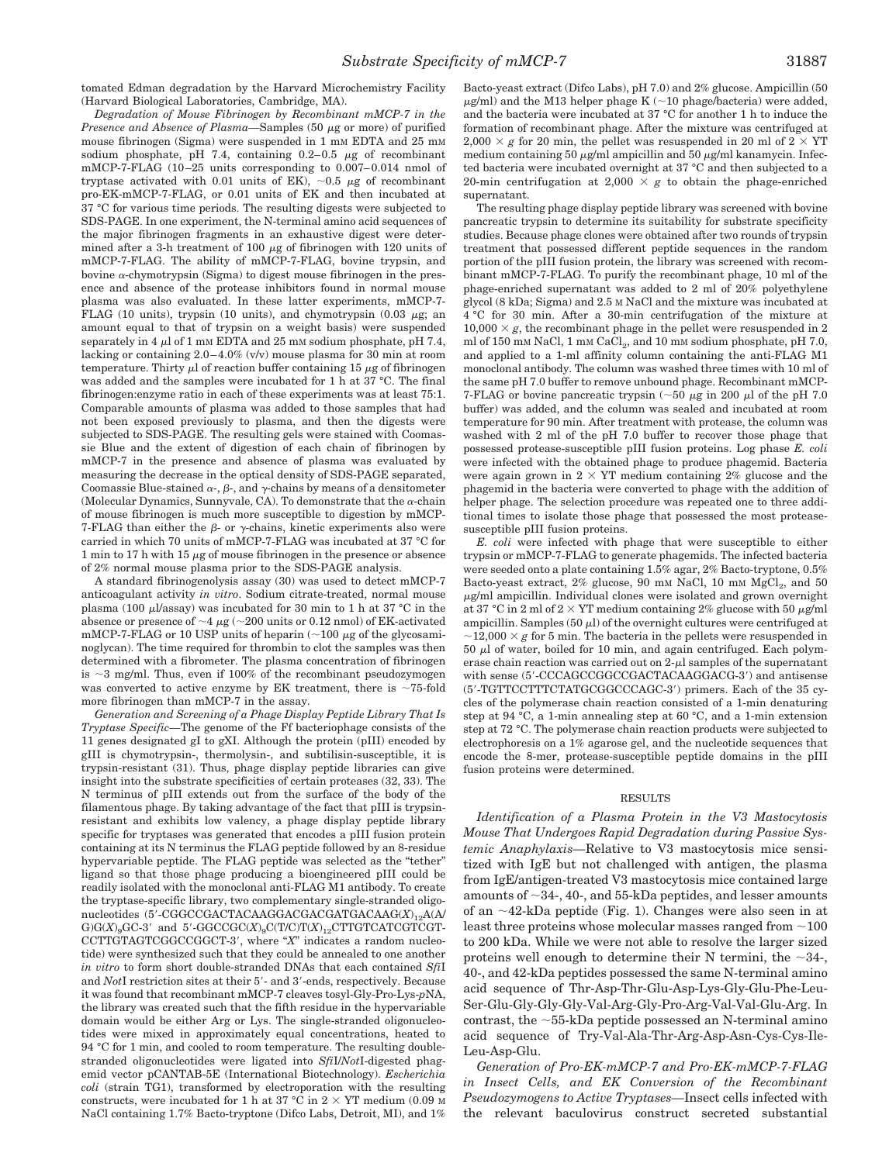tomated Edman degradation by the Harvard Microchemistry Facility (Harvard Biological Laboratories, Cambridge, MA).

*Degradation of Mouse Fibrinogen by Recombinant mMCP-7 in the Presence and Absence of Plasma*—Samples (50 µg or more) of purified mouse fibrinogen (Sigma) were suspended in 1 mM EDTA and 25 mM sodium phosphate, pH 7.4, containing  $0.2-0.5 \mu g$  of recombinant mMCP-7-FLAG (10–25 units corresponding to 0.007–0.014 nmol of tryptase activated with 0.01 units of EK),  $\sim$ 0.5  $\mu$ g of recombinant pro-EK-mMCP-7-FLAG, or 0.01 units of EK and then incubated at 37 °C for various time periods. The resulting digests were subjected to SDS-PAGE. In one experiment, the N-terminal amino acid sequences of the major fibrinogen fragments in an exhaustive digest were determined after a 3-h treatment of 100  $\mu$ g of fibrinogen with 120 units of mMCP-7-FLAG. The ability of mMCP-7-FLAG, bovine trypsin, and bovine  $\alpha$ -chymotrypsin (Sigma) to digest mouse fibrinogen in the presence and absence of the protease inhibitors found in normal mouse plasma was also evaluated. In these latter experiments, mMCP-7- FLAG (10 units), trypsin (10 units), and chymotrypsin (0.03  $\mu$ g; an amount equal to that of trypsin on a weight basis) were suspended separately in 4  $\mu$ l of 1 mm EDTA and 25 mm sodium phosphate, pH 7.4, lacking or containing 2.0–4.0% (v/v) mouse plasma for 30 min at room temperature. Thirty  $\mu$ l of reaction buffer containing 15  $\mu$ g of fibrinogen was added and the samples were incubated for 1 h at 37 °C. The final fibrinogen:enzyme ratio in each of these experiments was at least 75:1. Comparable amounts of plasma was added to those samples that had not been exposed previously to plasma, and then the digests were subjected to SDS-PAGE. The resulting gels were stained with Coomassie Blue and the extent of digestion of each chain of fibrinogen by mMCP-7 in the presence and absence of plasma was evaluated by measuring the decrease in the optical density of SDS-PAGE separated, Coomassie Blue-stained  $\alpha$ -,  $\beta$ -, and  $\gamma$ -chains by means of a densitometer (Molecular Dynamics, Sunnyvale, CA). To demonstrate that the  $\alpha$ -chain of mouse fibrinogen is much more susceptible to digestion by mMCP-7-FLAG than either the  $\beta$ - or  $\gamma$ -chains, kinetic experiments also were carried in which 70 units of mMCP-7-FLAG was incubated at 37 °C for 1 min to 17 h with 15  $\mu$ g of mouse fibrinogen in the presence or absence of 2% normal mouse plasma prior to the SDS-PAGE analysis.

A standard fibrinogenolysis assay (30) was used to detect mMCP-7 anticoagulant activity *in vitro*. Sodium citrate-treated, normal mouse plasma (100  $\mu$ *l*/assay) was incubated for 30 min to 1 h at 37 °C in the absence or presence of  $\sim$ 4  $\mu$ g ( $\sim$ 200 units or 0.12 nmol) of EK-activated mMCP-7-FLAG or 10 USP units of heparin  $($  ~100  $\mu$ g of the glycosaminoglycan). The time required for thrombin to clot the samples was then determined with a fibrometer. The plasma concentration of fibrinogen is  $\sim$ 3 mg/ml. Thus, even if 100% of the recombinant pseudozymogen was converted to active enzyme by EK treatment, there is  $\sim$ 75-fold more fibrinogen than mMCP-7 in the assay.

*Generation and Screening of a Phage Display Peptide Library That Is Tryptase Specific—*The genome of the Ff bacteriophage consists of the 11 genes designated gI to gXI. Although the protein (pIII) encoded by gIII is chymotrypsin-, thermolysin-, and subtilisin-susceptible, it is trypsin-resistant (31). Thus, phage display peptide libraries can give insight into the substrate specificities of certain proteases (32, 33). The N terminus of pIII extends out from the surface of the body of the filamentous phage. By taking advantage of the fact that pIII is trypsinresistant and exhibits low valency, a phage display peptide library specific for tryptases was generated that encodes a pIII fusion protein containing at its N terminus the FLAG peptide followed by an 8-residue hypervariable peptide. The FLAG peptide was selected as the "tether" ligand so that those phage producing a bioengineered pIII could be readily isolated with the monoclonal anti-FLAG M1 antibody. To create the tryptase-specific library, two complementary single-stranded oligonucleotides (5'-CGGCCGACTACAAGGACGACGATGACAAG(*X*)<sub>12</sub>A(A)  $\mathrm{G})\mathrm{G}(X)_9\mathrm{G}\mathrm{C}\text{-}3'$  and  $5' \text{-}\mathrm{GGCCGC}(X)_9\mathrm{C}( \mathrm{T} / \mathrm{C} )\mathrm{T}(X)_{12}\mathrm{CTTGTCATCGTCGT-}$ CCTTGTAGTCGGCCGGCT-3', where "X" indicates a random nucleotide) were synthesized such that they could be annealed to one another *in vitro* to form short double-stranded DNAs that each contained *Sfi*I and *NotI* restriction sites at their 5'- and 3'-ends, respectively. Because it was found that recombinant mMCP-7 cleaves tosyl-Gly-Pro-Lys-*p*NA, the library was created such that the fifth residue in the hypervariable domain would be either Arg or Lys. The single-stranded oligonucleotides were mixed in approximately equal concentrations, heated to 94 °C for 1 min, and cooled to room temperature. The resulting doublestranded oligonucleotides were ligated into *Sfi*I/*Not*I-digested phagemid vector pCANTAB-5E (International Biotechnology). *Escherichia coli* (strain TG1), transformed by electroporation with the resulting constructs, were incubated for 1 h at 37 °C in  $2 \times \text{YT}$  medium (0.09 M) NaCl containing 1.7% Bacto-tryptone (Difco Labs, Detroit, MI), and 1%

Bacto-yeast extract (Difco Labs), pH 7.0) and 2% glucose. Ampicillin (50  $\mu$ g/ml) and the M13 helper phage K ( $\sim$ 10 phage/bacteria) were added, and the bacteria were incubated at 37 °C for another 1 h to induce the formation of recombinant phage. After the mixture was centrifuged at  $2,000 \times g$  for 20 min, the pellet was resuspended in 20 ml of  $2 \times \text{YT}$ medium containing 50  $\mu$ g/ml ampicillin and 50  $\mu$ g/ml kanamycin. Infected bacteria were incubated overnight at 37 °C and then subjected to a 20-min centrifugation at 2,000  $\times g$  to obtain the phage-enriched supernatant.

The resulting phage display peptide library was screened with bovine pancreatic trypsin to determine its suitability for substrate specificity studies. Because phage clones were obtained after two rounds of trypsin treatment that possessed different peptide sequences in the random portion of the pIII fusion protein, the library was screened with recombinant mMCP-7-FLAG. To purify the recombinant phage, 10 ml of the phage-enriched supernatant was added to 2 ml of 20% polyethylene glycol (8 kDa; Sigma) and 2.5 M NaCl and the mixture was incubated at 4 °C for 30 min. After a 30-min centrifugation of the mixture at  $10,000 \times g$ , the recombinant phage in the pellet were resuspended in 2 ml of 150 mM NaCl, 1 mM  $\rm CaCl_2$ , and 10 mM sodium phosphate, pH 7.0, and applied to a 1-ml affinity column containing the anti-FLAG M1 monoclonal antibody. The column was washed three times with 10 ml of the same pH 7.0 buffer to remove unbound phage. Recombinant mMCP-7-FLAG or bovine pancreatic trypsin ( $\sim$ 50  $\mu$ g in 200  $\mu$ l of the pH 7.0 buffer) was added, and the column was sealed and incubated at room temperature for 90 min. After treatment with protease, the column was washed with 2 ml of the pH 7.0 buffer to recover those phage that possessed protease-susceptible pIII fusion proteins. Log phase *E. coli* were infected with the obtained phage to produce phagemid. Bacteria were again grown in  $2 \times \text{YT}$  medium containing  $2\%$  glucose and the phagemid in the bacteria were converted to phage with the addition of helper phage. The selection procedure was repeated one to three additional times to isolate those phage that possessed the most proteasesusceptible pIII fusion proteins.

*E. coli* were infected with phage that were susceptible to either trypsin or mMCP-7-FLAG to generate phagemids. The infected bacteria were seeded onto a plate containing 1.5% agar, 2% Bacto-tryptone, 0.5% Bacto-yeast extract,  $2\%$  glucose,  $90$  mM NaCl,  $10$  mM MgCl<sub>2</sub>, and  $50$  $\mu$ g/ml ampicillin. Individual clones were isolated and grown overnight at 37 °C in 2 ml of 2  $\times$  YT medium containing 2% glucose with 50  $\mu$ g/ml ampicillin. Samples (50  $\mu$ l) of the overnight cultures were centrifuged at  $\sim$ 12,000  $\times$  *g* for 5 min. The bacteria in the pellets were resuspended in  $50 \mu l$  of water, boiled for 10 min, and again centrifuged. Each polymerase chain reaction was carried out on  $2-\mu l$  samples of the supernatant with sense (5'-CCCAGCCGGCCGACTACAAGGACG-3') and antisense (5'-TGTTCCTTTCTATGCGGCCCAGC-3') primers. Each of the 35 cycles of the polymerase chain reaction consisted of a 1-min denaturing step at 94 °C, a 1-min annealing step at 60 °C, and a 1-min extension step at 72 °C. The polymerase chain reaction products were subjected to electrophoresis on a 1% agarose gel, and the nucleotide sequences that encode the 8-mer, protease-susceptible peptide domains in the pIII fusion proteins were determined.

#### RESULTS

*Identification of a Plasma Protein in the V3 Mastocytosis Mouse That Undergoes Rapid Degradation during Passive Systemic Anaphylaxis—*Relative to V3 mastocytosis mice sensitized with IgE but not challenged with antigen, the plasma from IgE/antigen-treated V3 mastocytosis mice contained large amounts of  $\sim$ 34-, 40-, and 55-kDa peptides, and lesser amounts of an  $\sim$ 42-kDa peptide (Fig. 1). Changes were also seen in at least three proteins whose molecular masses ranged from  $\sim$ 100 to 200 kDa. While we were not able to resolve the larger sized proteins well enough to determine their N termini, the  $\sim$ 34-, 40-, and 42-kDa peptides possessed the same N-terminal amino acid sequence of Thr-Asp-Thr-Glu-Asp-Lys-Gly-Glu-Phe-Leu-Ser-Glu-Gly-Gly-Gly-Val-Arg-Gly-Pro-Arg-Val-Val-Glu-Arg. In contrast, the  $\sim$ 55-kDa peptide possessed an N-terminal amino acid sequence of Try-Val-Ala-Thr-Arg-Asp-Asn-Cys-Cys-Ile-Leu-Asp-Glu.

*Generation of Pro-EK-mMCP-7 and Pro-EK-mMCP-7-FLAG in Insect Cells, and EK Conversion of the Recombinant Pseudozymogens to Active Tryptases—*Insect cells infected with the relevant baculovirus construct secreted substantial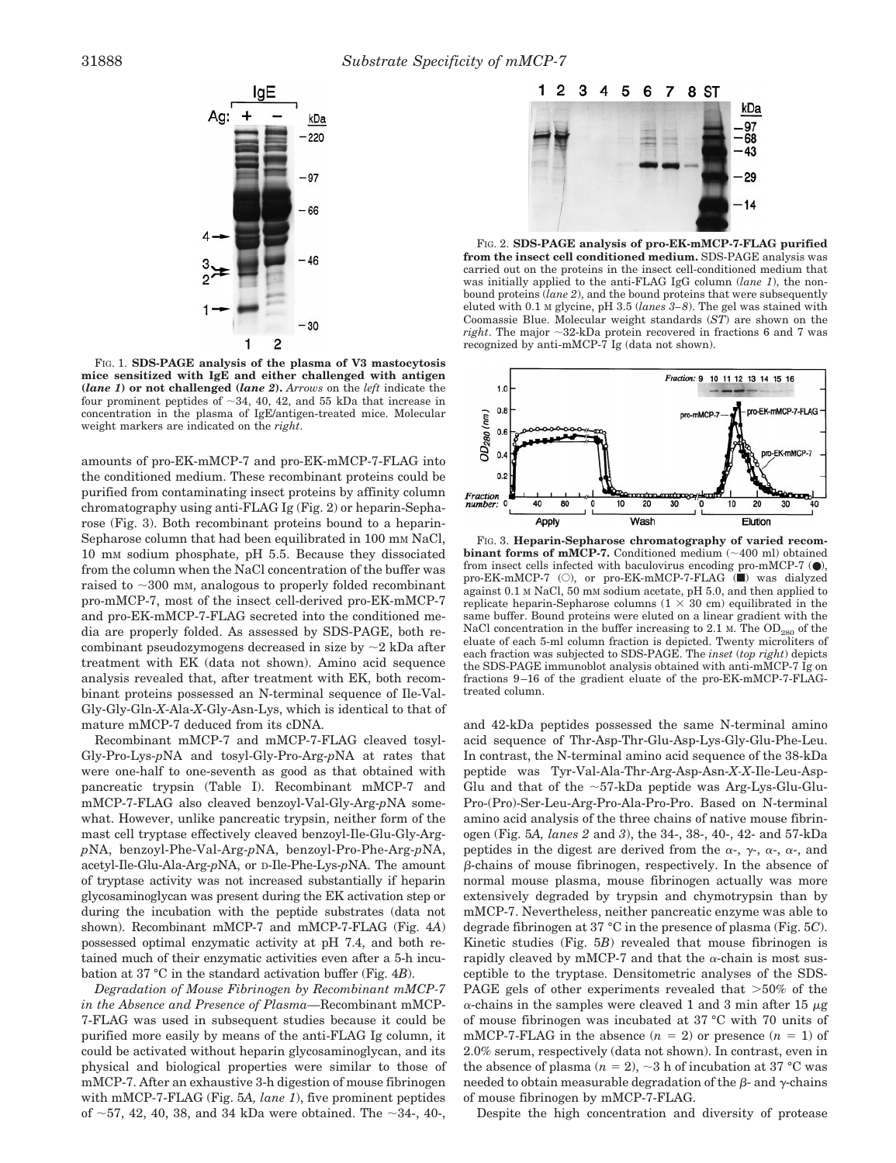

FIG. 1. **SDS-PAGE analysis of the plasma of V3 mastocytosis mice sensitized with IgE and either challenged with antigen (***lane 1***) or not challenged (***lane 2***).** *Arrows* on the *left* indicate the four prominent peptides of  $\sim$ 34, 40, 42, and 55 kDa that increase in concentration in the plasma of IgE/antigen-treated mice. Molecular weight markers are indicated on the *right*.

amounts of pro-EK-mMCP-7 and pro-EK-mMCP-7-FLAG into the conditioned medium. These recombinant proteins could be purified from contaminating insect proteins by affinity column chromatography using anti-FLAG Ig (Fig. 2) or heparin-Sepharose (Fig. 3). Both recombinant proteins bound to a heparin-Sepharose column that had been equilibrated in 100 mm NaCl, 10 mM sodium phosphate, pH 5.5. Because they dissociated from the column when the NaCl concentration of the buffer was raised to  $\sim$ 300 mm, analogous to properly folded recombinant pro-mMCP-7, most of the insect cell-derived pro-EK-mMCP-7 and pro-EK-mMCP-7-FLAG secreted into the conditioned media are properly folded. As assessed by SDS-PAGE, both recombinant pseudozymogens decreased in size by  $\sim$  2 kDa after treatment with EK (data not shown). Amino acid sequence analysis revealed that, after treatment with EK, both recombinant proteins possessed an N-terminal sequence of Ile-Val-Gly-Gly-Gln-*X*-Ala-*X*-Gly-Asn-Lys, which is identical to that of mature mMCP-7 deduced from its cDNA.

Recombinant mMCP-7 and mMCP-7-FLAG cleaved tosyl-Gly-Pro-Lys-*p*NA and tosyl-Gly-Pro-Arg-*p*NA at rates that were one-half to one-seventh as good as that obtained with pancreatic trypsin (Table I). Recombinant mMCP-7 and mMCP-7-FLAG also cleaved benzoyl-Val-Gly-Arg-*p*NA somewhat. However, unlike pancreatic trypsin, neither form of the mast cell tryptase effectively cleaved benzoyl-Ile-Glu-Gly-Arg*p*NA, benzoyl-Phe-Val-Arg-*p*NA, benzoyl-Pro-Phe-Arg-*p*NA, acetyl-Ile-Glu-Ala-Arg-*p*NA, or D-Ile-Phe-Lys-*p*NA. The amount of tryptase activity was not increased substantially if heparin glycosaminoglycan was present during the EK activation step or during the incubation with the peptide substrates (data not shown). Recombinant mMCP-7 and mMCP-7-FLAG (Fig. 4*A*) possessed optimal enzymatic activity at pH 7.4, and both retained much of their enzymatic activities even after a 5-h incubation at 37 °C in the standard activation buffer (Fig. 4*B*).

*Degradation of Mouse Fibrinogen by Recombinant mMCP-7 in the Absence and Presence of Plasma—*Recombinant mMCP-7-FLAG was used in subsequent studies because it could be purified more easily by means of the anti-FLAG Ig column, it could be activated without heparin glycosaminoglycan, and its physical and biological properties were similar to those of mMCP-7. After an exhaustive 3-h digestion of mouse fibrinogen with mMCP-7-FLAG (Fig. 5*A, lane 1*), five prominent peptides of  $\sim$ 57, 42, 40, 38, and 34 kDa were obtained. The  $\sim$ 34-, 40-,



FIG. 2. **SDS-PAGE analysis of pro-EK-mMCP-7-FLAG purified from the insect cell conditioned medium.** SDS-PAGE analysis was carried out on the proteins in the insect cell-conditioned medium that was initially applied to the anti-FLAG IgG column (*lane 1*), the nonbound proteins (*lane 2*), and the bound proteins that were subsequently eluted with 0.1 M glycine, pH 3.5 (*lanes 3–8*). The gel was stained with Coomassie Blue. Molecular weight standards (*ST*) are shown on the *right*. The major  $\sim$ 32-kDa protein recovered in fractions 6 and 7 was recognized by anti-mMCP-7 Ig (data not shown).



FIG. 3. **Heparin-Sepharose chromatography of varied recombinant forms of mMCP-7.** Conditioned medium  $(\sim 400 \text{ ml})$  obtained from insect cells infected with baculovirus encoding pro-mMCP-7  $(\bullet)$ , pro-EK-mMCP-7 (O), or pro-EK-mMCP-7-FLAG ( $\bullet$ ) was dialyzed against 0.1 M NaCl, 50 mM sodium acetate, pH 5.0, and then applied to replicate heparin-Sepharose columns  $(1 \times 30 \text{ cm})$  equilibrated in the same buffer. Bound proteins were eluted on a linear gradient with the NaCl concentration in the buffer increasing to 2.1 M. The  $OD_{280}$  of the eluate of each 5-ml column fraction is depicted. Twenty microliters of each fraction was subjected to SDS-PAGE. The *inset* (*top right*) depicts the SDS-PAGE immunoblot analysis obtained with anti-mMCP-7 Ig on fractions 9–16 of the gradient eluate of the pro-EK-mMCP-7-FLAGtreated column.

and 42-kDa peptides possessed the same N-terminal amino acid sequence of Thr-Asp-Thr-Glu-Asp-Lys-Gly-Glu-Phe-Leu. In contrast, the N-terminal amino acid sequence of the 38-kDa peptide was Tyr-Val-Ala-Thr-Arg-Asp-Asn-*X-X*-Ile-Leu-Asp-Glu and that of the  $\sim$ 57-kDa peptide was Arg-Lys-Glu-Glu-Pro-(Pro)-Ser-Leu-Arg-Pro-Ala-Pro-Pro. Based on N-terminal amino acid analysis of the three chains of native mouse fibrinogen (Fig. 5*A, lanes 2* and *3*), the 34-, 38-, 40-, 42- and 57-kDa peptides in the digest are derived from the  $\alpha$ -,  $\gamma$ -,  $\alpha$ -,  $\alpha$ -, and b-chains of mouse fibrinogen, respectively. In the absence of normal mouse plasma, mouse fibrinogen actually was more extensively degraded by trypsin and chymotrypsin than by mMCP-7. Nevertheless, neither pancreatic enzyme was able to degrade fibrinogen at 37 °C in the presence of plasma (Fig. 5*C*). Kinetic studies (Fig. 5*B*) revealed that mouse fibrinogen is rapidly cleaved by mMCP-7 and that the  $\alpha$ -chain is most susceptible to the tryptase. Densitometric analyses of the SDS-PAGE gels of other experiments revealed that  $>50\%$  of the  $\alpha$ -chains in the samples were cleaved 1 and 3 min after 15  $\mu$ g of mouse fibrinogen was incubated at 37 °C with 70 units of mMCP-7-FLAG in the absence  $(n = 2)$  or presence  $(n = 1)$  of 2.0% serum, respectively (data not shown). In contrast, even in the absence of plasma  $(n = 2)$ ,  $\sim$ 3 h of incubation at 37 °C was needed to obtain measurable degradation of the  $\beta$ - and  $\gamma$ -chains of mouse fibrinogen by mMCP-7-FLAG.

Despite the high concentration and diversity of protease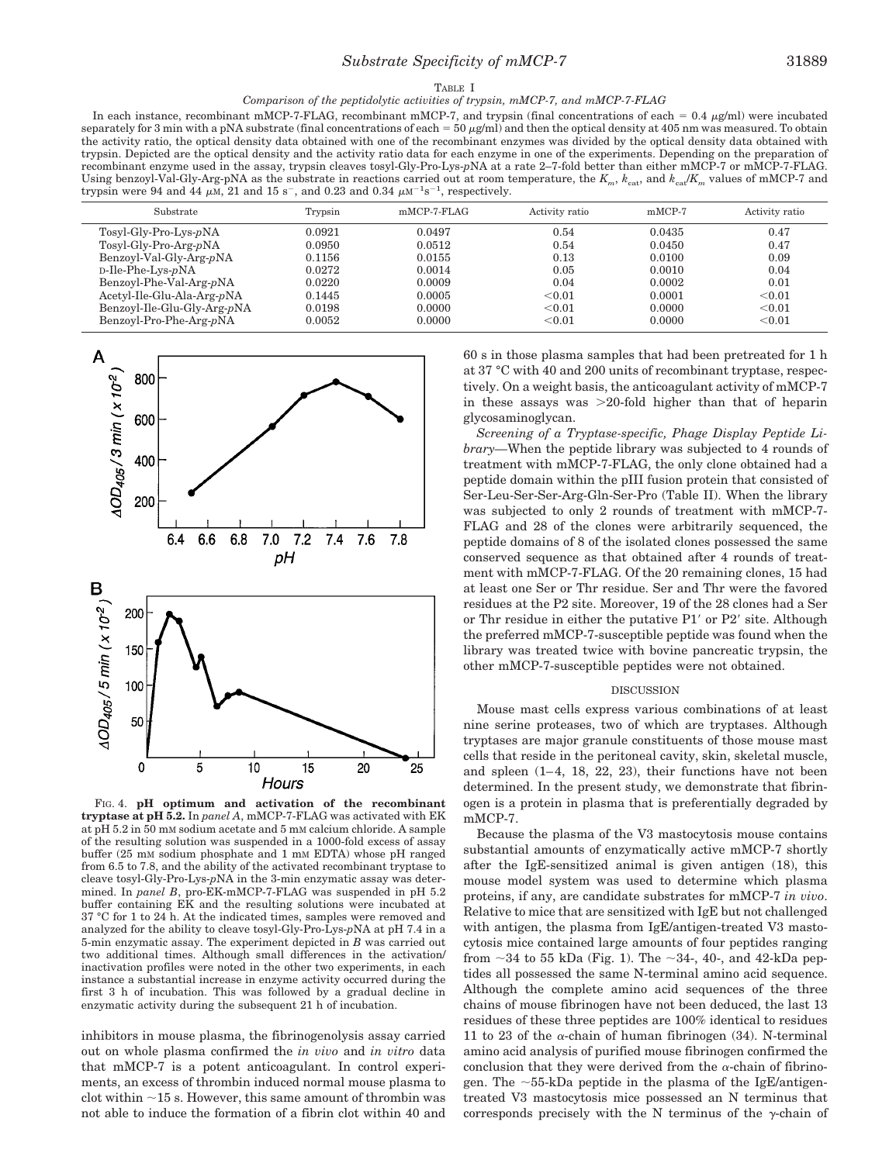#### TABLE I *Comparison of the peptidolytic activities of trypsin, mMCP-7, and mMCP-7-FLAG*

In each instance, recombinant mMCP-7-FLAG, recombinant mMCP-7, and trypsin (final concentrations of each =  $0.4 \mu g/ml$ ) were incubated separately for 3 min with a pNA substrate (final concentrations of each =  $50 \mu g$ /ml) and then the optical density at 405 nm was measured. To obtain the activity ratio, the optical density data obtained with one of the recombinant enzymes was divided by the optical density data obtained with trypsin. Depicted are the optical density and the activity ratio data for each enzyme in one of the experiments. Depending on the preparation of recombinant enzyme used in the assay, trypsin cleaves tosyl-Gly-Pro-Lys-*p*NA at a rate 2–7-fold better than either mMCP-7 or mMCP-7-FLAG. Using benzoyl-Val-Gly-Arg-pNA as the substrate in reactions carried out at room temperature, the  $K_m$ ,  $k_{\text{cat}}$  and  $k_{\text{cat}}/K_m$  values of mMCP-7 and trypsin were 94 and 44  $\mu$ M, 21 and 15 s<sup>-</sup>, and 0.23 and 0.34  $\mu$ M<sup>-1</sup>s<sup>-1</sup>, respectively.

| Substrate                   | Trypsin | $mMCP-7-FLAG$ | Activity ratio | $mMCP-7$ | Activity ratio |
|-----------------------------|---------|---------------|----------------|----------|----------------|
| Tosyl-Gly-Pro-Lys-pNA       | 0.0921  | 0.0497        | 0.54           | 0.0435   | 0.47           |
| $Tosyl-Gly-Pro-Arg-pNA$     | 0.0950  | 0.0512        | 0.54           | 0.0450   | 0.47           |
| Benzoyl-Val-Gly-Arg-pNA     | 0.1156  | 0.0155        | 0.13           | 0.0100   | 0.09           |
| $D$ -Ile-Phe-Lys- $pNA$     | 0.0272  | 0.0014        | 0.05           | 0.0010   | 0.04           |
| Benzoyl-Phe-Val-Arg-pNA     | 0.0220  | 0.0009        | 0.04           | 0.0002   | 0.01           |
| Acetyl-Ile-Glu-Ala-Arg-pNA  | 0.1445  | 0.0005        | < 0.01         | 0.0001   | < 0.01         |
| Benzoyl-Ile-Glu-Gly-Arg-pNA | 0.0198  | 0.0000        | < 0.01         | 0.0000   | < 0.01         |
| Benzoyl-Pro-Phe-Arg-pNA     | 0.0052  | 0.0000        | < 0.01         | 0.0000   | < 0.01         |



FIG. 4. **pH optimum and activation of the recombinant tryptase at pH 5.2.** In *panel A*, mMCP-7-FLAG was activated with EK at pH 5.2 in 50 mM sodium acetate and 5 mM calcium chloride. A sample of the resulting solution was suspended in a 1000-fold excess of assay buffer (25 mM sodium phosphate and 1 mM EDTA) whose pH ranged from 6.5 to 7.8, and the ability of the activated recombinant tryptase to cleave tosyl-Gly-Pro-Lys-*p*NA in the 3-min enzymatic assay was determined. In *panel B*, pro-EK-mMCP-7-FLAG was suspended in pH 5.2 buffer containing EK and the resulting solutions were incubated at 37 °C for 1 to 24 h. At the indicated times, samples were removed and analyzed for the ability to cleave tosyl-Gly-Pro-Lys-*p*NA at pH 7.4 in a 5-min enzymatic assay. The experiment depicted in *B* was carried out two additional times. Although small differences in the activation/ inactivation profiles were noted in the other two experiments, in each instance a substantial increase in enzyme activity occurred during the first 3 h of incubation. This was followed by a gradual decline in enzymatic activity during the subsequent 21 h of incubation.

inhibitors in mouse plasma, the fibrinogenolysis assay carried out on whole plasma confirmed the *in vivo* and *in vitro* data that mMCP-7 is a potent anticoagulant. In control experiments, an excess of thrombin induced normal mouse plasma to clot within  $\sim$ 15 s. However, this same amount of thrombin was not able to induce the formation of a fibrin clot within 40 and 60 s in those plasma samples that had been pretreated for 1 h at 37 °C with 40 and 200 units of recombinant tryptase, respectively. On a weight basis, the anticoagulant activity of mMCP-7 in these assays was  $>20$ -fold higher than that of heparin glycosaminoglycan.

*Screening of a Tryptase-specific, Phage Display Peptide Library—*When the peptide library was subjected to 4 rounds of treatment with mMCP-7-FLAG, the only clone obtained had a peptide domain within the pIII fusion protein that consisted of Ser-Leu-Ser-Ser-Arg-Gln-Ser-Pro (Table II). When the library was subjected to only 2 rounds of treatment with mMCP-7- FLAG and 28 of the clones were arbitrarily sequenced, the peptide domains of 8 of the isolated clones possessed the same conserved sequence as that obtained after 4 rounds of treatment with mMCP-7-FLAG. Of the 20 remaining clones, 15 had at least one Ser or Thr residue. Ser and Thr were the favored residues at the P2 site. Moreover, 19 of the 28 clones had a Ser or Thr residue in either the putative P1' or P2' site. Although the preferred mMCP-7-susceptible peptide was found when the library was treated twice with bovine pancreatic trypsin, the other mMCP-7-susceptible peptides were not obtained.

## DISCUSSION

Mouse mast cells express various combinations of at least nine serine proteases, two of which are tryptases. Although tryptases are major granule constituents of those mouse mast cells that reside in the peritoneal cavity, skin, skeletal muscle, and spleen (1–4, 18, 22, 23), their functions have not been determined. In the present study, we demonstrate that fibrinogen is a protein in plasma that is preferentially degraded by mMCP-7.

Because the plasma of the V3 mastocytosis mouse contains substantial amounts of enzymatically active mMCP-7 shortly after the IgE-sensitized animal is given antigen (18), this mouse model system was used to determine which plasma proteins, if any, are candidate substrates for mMCP-7 *in vivo*. Relative to mice that are sensitized with IgE but not challenged with antigen, the plasma from IgE/antigen-treated V3 mastocytosis mice contained large amounts of four peptides ranging from  $\sim$ 34 to 55 kDa (Fig. 1). The  $\sim$ 34-, 40-, and 42-kDa peptides all possessed the same N-terminal amino acid sequence. Although the complete amino acid sequences of the three chains of mouse fibrinogen have not been deduced, the last 13 residues of these three peptides are 100% identical to residues 11 to 23 of the  $\alpha$ -chain of human fibrinogen (34). N-terminal amino acid analysis of purified mouse fibrinogen confirmed the conclusion that they were derived from the  $\alpha$ -chain of fibrinogen. The  $\sim$ 55-kDa peptide in the plasma of the IgE/antigentreated V3 mastocytosis mice possessed an N terminus that corresponds precisely with the N terminus of the  $\gamma$ -chain of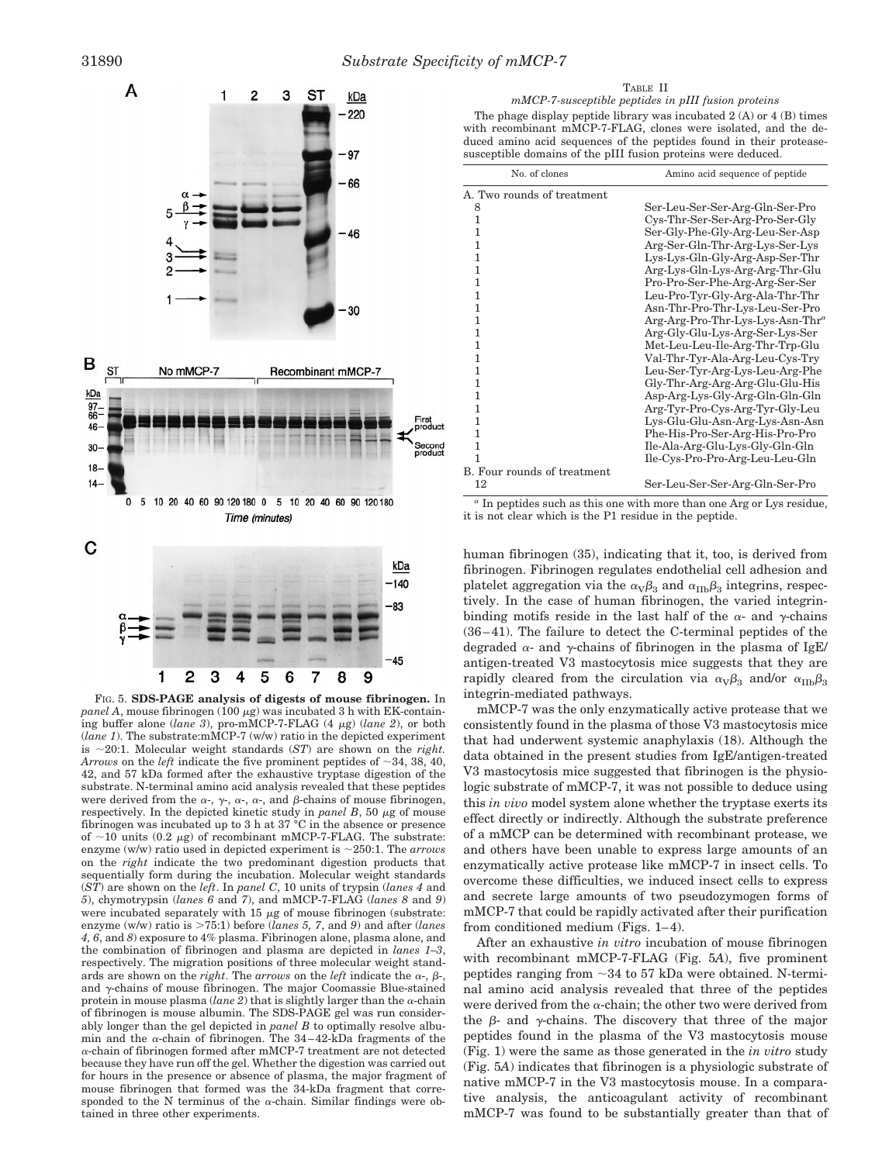

FIG. 5. **SDS-PAGE analysis of digests of mouse fibrinogen.** In *panel A*, mouse fibrinogen (100  $\mu$ g) was incubated 3 h with EK-containing buffer alone (*lane 3*), pro-mMCP-7-FLAG (4 <sup>m</sup>g) (*lane 2*), or both (*lane 1*). The substrate:mMCP-7 (w/w) ratio in the depicted experiment is  $\sim$ 20:1. Molecular weight standards (*ST*) are shown on the *right*. *Arrows* on the *left* indicate the five prominent peptides of  $\sim$ 34, 38, 40, 42, and 57 kDa formed after the exhaustive tryptase digestion of the substrate. N-terminal amino acid analysis revealed that these peptides were derived from the  $\alpha$ -,  $\gamma$ -,  $\alpha$ -,  $\alpha$ -, and  $\beta$ -chains of mouse fibrinogen, respectively. In the depicted kinetic study in *panel B*, 50  $\mu$ g of mouse fibrinogen was incubated up to 3 h at 37 °C in the absence or presence of  $\sim$ 10 units (0.2  $\mu$ g) of recombinant mMCP-7-FLAG. The substrate: enzyme (w/w) ratio used in depicted experiment is  $\sim$ 250:1. The *arrows* on the *right* indicate the two predominant digestion products that sequentially form during the incubation. Molecular weight standards (*ST*) are shown on the *left*. In *panel C*, 10 units of trypsin (*lanes 4* and *5*), chymotrypsin (*lanes 6* and *7*), and mMCP-7-FLAG (*lanes 8* and *9*) were incubated separately with  $15 \mu$ g of mouse fibrinogen (substrate: enzyme (w/w) ratio is >75:1) before (*lanes 5, 7*, and *9*) and after (*lanes 4, 6*, and *8*) exposure to 4% plasma. Fibrinogen alone, plasma alone, and the combination of fibrinogen and plasma are depicted in *lanes 1–3*, respectively. The migration positions of three molecular weight standards are shown on the *right*. The *arrows* on the *left* indicate the  $\alpha$ -,  $\beta$ and  $\gamma$ -chains of mouse fibrinogen. The major Coomassie Blue-stained protein in mouse plasma ( $lane$  2) that is slightly larger than the  $\alpha$ -chain of fibrinogen is mouse albumin. The SDS-PAGE gel was run considerably longer than the gel depicted in *panel B* to optimally resolve albumin and the  $\alpha$ -chain of fibrinogen. The 34-42-kDa fragments of the <sup>a</sup>-chain of fibrinogen formed after mMCP-7 treatment are not detected because they have run off the gel. Whether the digestion was carried out for hours in the presence or absence of plasma, the major fragment of mouse fibrinogen that formed was the 34-kDa fragment that corresponded to the N terminus of the  $\alpha$ -chain. Similar findings were obtained in three other experiments.



| No. of clones               | Amino acid sequence of peptide               |  |  |
|-----------------------------|----------------------------------------------|--|--|
| A. Two rounds of treatment  |                                              |  |  |
| 8                           | Ser-Leu-Ser-Ser-Arg-Gln-Ser-Pro              |  |  |
| 1                           | Cys-Thr-Ser-Ser-Arg-Pro-Ser-Gly              |  |  |
| 1                           | Ser-Gly-Phe-Gly-Arg-Leu-Ser-Asp              |  |  |
| 1                           | Arg-Ser-Gln-Thr-Arg-Lys-Ser-Lys              |  |  |
| 1                           | Lys-Lys-Gln-Gly-Arg-Asp-Ser-Thr              |  |  |
| 1                           | Arg-Lys-Gln-Lys-Arg-Arg-Thr-Glu              |  |  |
| 1                           | Pro-Pro-Ser-Phe-Arg-Arg-Ser-Ser              |  |  |
| 1                           | Leu-Pro-Tyr-Gly-Arg-Ala-Thr-Thr              |  |  |
| 1                           | Asn-Thr-Pro-Thr-Lys-Leu-Ser-Pro              |  |  |
| 1                           | Arg-Arg-Pro-Thr-Lys-Lys-Asn-Thr <sup>a</sup> |  |  |
| 1                           | Arg-Gly-Glu-Lys-Arg-Ser-Lys-Ser              |  |  |
| 1                           | Met-Leu-Leu-Ile-Arg-Thr-Trp-Glu              |  |  |
| 1                           | Val-Thr-Tyr-Ala-Arg-Leu-Cys-Try              |  |  |
| 1                           | Leu-Ser-Tyr-Arg-Lys-Leu-Arg-Phe              |  |  |
| 1                           | Gly-Thr-Arg-Arg-Arg-Glu-Glu-His              |  |  |
| 1                           | Asp-Arg-Lys-Gly-Arg-Gln-Gln-Gln              |  |  |
| $\mathbf{1}$                | Arg-Tyr-Pro-Cys-Arg-Tyr-Gly-Leu              |  |  |
| 1                           | Lys-Glu-Glu-Asn-Arg-Lys-Asn-Asn              |  |  |
| 1                           | Phe-His-Pro-Ser-Arg-His-Pro-Pro              |  |  |
| 1                           | Ile-Ala-Arg-Glu-Lys-Gly-Gln-Gln              |  |  |
| 1                           | Ile-Cys-Pro-Pro-Arg-Leu-Leu-Gln              |  |  |
| B. Four rounds of treatment |                                              |  |  |
| 12                          | Ser-Leu-Ser-Ser-Arg-Gln-Ser-Pro              |  |  |

*<sup>a</sup>* In peptides such as this one with more than one Arg or Lys residue, it is not clear which is the P1 residue in the peptide.

human fibrinogen (35), indicating that it, too, is derived from fibrinogen. Fibrinogen regulates endothelial cell adhesion and platelet aggregation via the  $\alpha_V\beta_3$  and  $\alpha_{\text{IIb}}\beta_3$  integrins, respectively. In the case of human fibrinogen, the varied integrinbinding motifs reside in the last half of the  $\alpha$ - and  $\gamma$ -chains (36–41). The failure to detect the C-terminal peptides of the degraded  $\alpha$ - and  $\gamma$ -chains of fibrinogen in the plasma of IgE/ antigen-treated V3 mastocytosis mice suggests that they are rapidly cleared from the circulation via  $\alpha_{\rm V}\beta_3$  and/or  $\alpha_{\rm IID}\beta_3$ integrin-mediated pathways.

mMCP-7 was the only enzymatically active protease that we consistently found in the plasma of those V3 mastocytosis mice that had underwent systemic anaphylaxis (18). Although the data obtained in the present studies from IgE/antigen-treated V3 mastocytosis mice suggested that fibrinogen is the physiologic substrate of mMCP-7, it was not possible to deduce using this *in vivo* model system alone whether the tryptase exerts its effect directly or indirectly. Although the substrate preference of a mMCP can be determined with recombinant protease, we and others have been unable to express large amounts of an enzymatically active protease like mMCP-7 in insect cells. To overcome these difficulties, we induced insect cells to express and secrete large amounts of two pseudozymogen forms of mMCP-7 that could be rapidly activated after their purification from conditioned medium (Figs. 1–4).

After an exhaustive *in vitro* incubation of mouse fibrinogen with recombinant mMCP-7-FLAG (Fig. 5*A*), five prominent peptides ranging from  $\sim$ 34 to 57 kDa were obtained. N-terminal amino acid analysis revealed that three of the peptides were derived from the  $\alpha$ -chain; the other two were derived from the  $\beta$ - and  $\gamma$ -chains. The discovery that three of the major peptides found in the plasma of the V3 mastocytosis mouse (Fig. 1) were the same as those generated in the *in vitro* study (Fig. 5*A*) indicates that fibrinogen is a physiologic substrate of native mMCP-7 in the V3 mastocytosis mouse. In a comparative analysis, the anticoagulant activity of recombinant mMCP-7 was found to be substantially greater than that of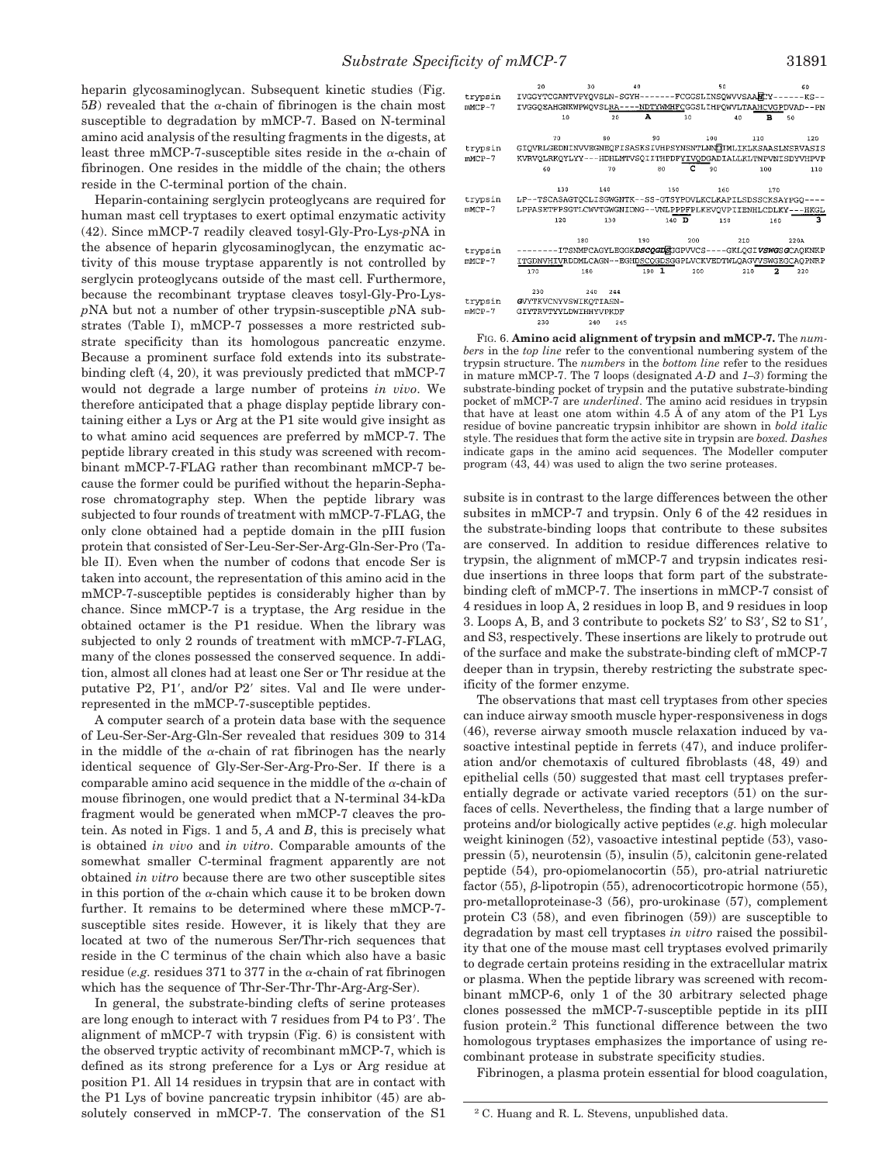heparin glycosaminoglycan. Subsequent kinetic studies (Fig.  $5B$ ) revealed that the  $\alpha$ -chain of fibrinogen is the chain most susceptible to degradation by mMCP-7. Based on N-terminal amino acid analysis of the resulting fragments in the digests, at least three mMCP-7-susceptible sites reside in the  $\alpha$ -chain of fibrinogen. One resides in the middle of the chain; the others reside in the C-terminal portion of the chain.

Heparin-containing serglycin proteoglycans are required for human mast cell tryptases to exert optimal enzymatic activity (42). Since mMCP-7 readily cleaved tosyl-Gly-Pro-Lys-*p*NA in the absence of heparin glycosaminoglycan, the enzymatic activity of this mouse tryptase apparently is not controlled by serglycin proteoglycans outside of the mast cell. Furthermore, because the recombinant tryptase cleaves tosyl-Gly-Pro-Lys*p*NA but not a number of other trypsin-susceptible *p*NA substrates (Table I), mMCP-7 possesses a more restricted substrate specificity than its homologous pancreatic enzyme. Because a prominent surface fold extends into its substratebinding cleft (4, 20), it was previously predicted that mMCP-7 would not degrade a large number of proteins *in vivo*. We therefore anticipated that a phage display peptide library containing either a Lys or Arg at the P1 site would give insight as to what amino acid sequences are preferred by mMCP-7. The peptide library created in this study was screened with recombinant mMCP-7-FLAG rather than recombinant mMCP-7 because the former could be purified without the heparin-Sepharose chromatography step. When the peptide library was subjected to four rounds of treatment with mMCP-7-FLAG, the only clone obtained had a peptide domain in the pIII fusion protein that consisted of Ser-Leu-Ser-Ser-Arg-Gln-Ser-Pro (Table II). Even when the number of codons that encode Ser is taken into account, the representation of this amino acid in the mMCP-7-susceptible peptides is considerably higher than by chance. Since mMCP-7 is a tryptase, the Arg residue in the obtained octamer is the P1 residue. When the library was subjected to only 2 rounds of treatment with mMCP-7-FLAG, many of the clones possessed the conserved sequence. In addition, almost all clones had at least one Ser or Thr residue at the putative P2, P1', and/or P2' sites. Val and Ile were underrepresented in the mMCP-7-susceptible peptides.

A computer search of a protein data base with the sequence of Leu-Ser-Ser-Arg-Gln-Ser revealed that residues 309 to 314 in the middle of the  $\alpha$ -chain of rat fibrinogen has the nearly identical sequence of Gly-Ser-Ser-Arg-Pro-Ser. If there is a comparable amino acid sequence in the middle of the  $\alpha$ -chain of mouse fibrinogen, one would predict that a N-terminal 34-kDa fragment would be generated when mMCP-7 cleaves the protein. As noted in Figs. 1 and 5, *A* and *B*, this is precisely what is obtained *in vivo* and *in vitro*. Comparable amounts of the somewhat smaller C-terminal fragment apparently are not obtained *in vitro* because there are two other susceptible sites in this portion of the  $\alpha$ -chain which cause it to be broken down further. It remains to be determined where these mMCP-7 susceptible sites reside. However, it is likely that they are located at two of the numerous Ser/Thr-rich sequences that reside in the C terminus of the chain which also have a basic residue (*e.g.* residues 371 to 377 in the  $\alpha$ -chain of rat fibrinogen which has the sequence of Thr-Ser-Thr-Thr-Arg-Arg-Ser).

In general, the substrate-binding clefts of serine proteases are long enough to interact with 7 residues from P4 to P3'. The alignment of mMCP-7 with trypsin (Fig. 6) is consistent with the observed tryptic activity of recombinant mMCP-7, which is defined as its strong preference for a Lys or Arg residue at position P1. All 14 residues in trypsin that are in contact with the P1 Lys of bovine pancreatic trypsin inhibitor (45) are absolutely conserved in mMCP-7. The conservation of the S1



FIG. 6. **Amino acid alignment of trypsin and mMCP-7.** The *numbers* in the *top line* refer to the conventional numbering system of the trypsin structure. The *numbers* in the *bottom line* refer to the residues in mature mMCP-7. The 7 loops (designated *A-D* and *1–3*) forming the substrate-binding pocket of trypsin and the putative substrate-binding pocket of mMCP-7 are *underlined*. The amino acid residues in trypsin that have at least one atom within 4.5 Å of any atom of the P1 Lys residue of bovine pancreatic trypsin inhibitor are shown in *bold italic* style. The residues that form the active site in trypsin are *boxed. Dashes* indicate gaps in the amino acid sequences. The Modeller computer program (43, 44) was used to align the two serine proteases.

subsite is in contrast to the large differences between the other subsites in mMCP-7 and trypsin. Only 6 of the 42 residues in the substrate-binding loops that contribute to these subsites are conserved. In addition to residue differences relative to trypsin, the alignment of mMCP-7 and trypsin indicates residue insertions in three loops that form part of the substratebinding cleft of mMCP-7. The insertions in mMCP-7 consist of 4 residues in loop A, 2 residues in loop B, and 9 residues in loop 3. Loops A, B, and 3 contribute to pockets  $S2'$  to  $S3'$ ,  $S2$  to  $S1'$ . and S3, respectively. These insertions are likely to protrude out of the surface and make the substrate-binding cleft of mMCP-7 deeper than in trypsin, thereby restricting the substrate specificity of the former enzyme.

The observations that mast cell tryptases from other species can induce airway smooth muscle hyper-responsiveness in dogs (46), reverse airway smooth muscle relaxation induced by vasoactive intestinal peptide in ferrets (47), and induce proliferation and/or chemotaxis of cultured fibroblasts (48, 49) and epithelial cells (50) suggested that mast cell tryptases preferentially degrade or activate varied receptors (51) on the surfaces of cells. Nevertheless, the finding that a large number of proteins and/or biologically active peptides (*e.g.* high molecular weight kininogen (52), vasoactive intestinal peptide (53), vasopressin (5), neurotensin (5), insulin (5), calcitonin gene-related peptide (54), pro-opiomelanocortin (55), pro-atrial natriuretic factor (55),  $\beta$ -lipotropin (55), adrenocorticotropic hormone (55), pro-metalloproteinase-3 (56), pro-urokinase (57), complement protein C3 (58), and even fibrinogen (59)) are susceptible to degradation by mast cell tryptases *in vitro* raised the possibility that one of the mouse mast cell tryptases evolved primarily to degrade certain proteins residing in the extracellular matrix or plasma. When the peptide library was screened with recombinant mMCP-6, only 1 of the 30 arbitrary selected phage clones possessed the mMCP-7-susceptible peptide in its pIII fusion protein.2 This functional difference between the two homologous tryptases emphasizes the importance of using recombinant protease in substrate specificity studies.

Fibrinogen, a plasma protein essential for blood coagulation,

<sup>2</sup> C. Huang and R. L. Stevens, unpublished data.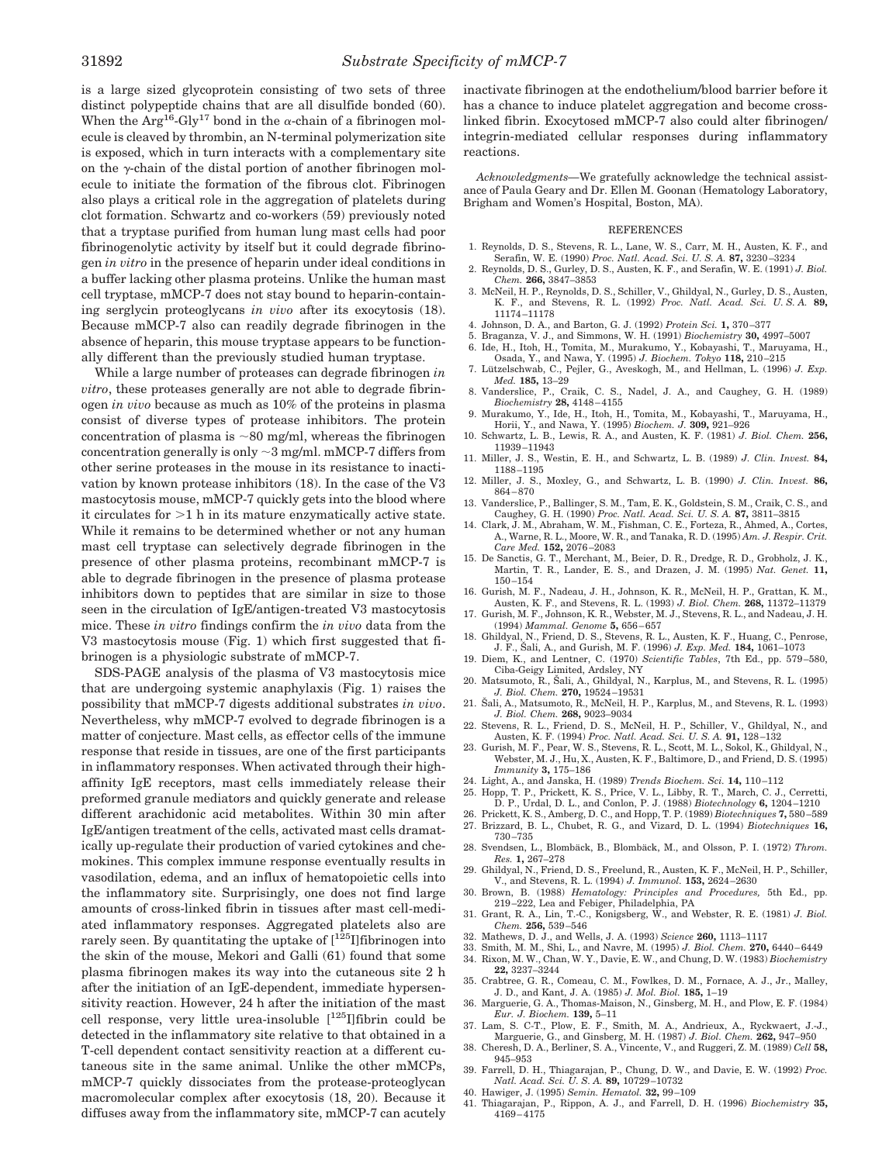is a large sized glycoprotein consisting of two sets of three distinct polypeptide chains that are all disulfide bonded (60). When the  $Arg^{16}$ -Gly<sup>17</sup> bond in the  $\alpha$ -chain of a fibrinogen molecule is cleaved by thrombin, an N-terminal polymerization site is exposed, which in turn interacts with a complementary site on the  $\gamma$ -chain of the distal portion of another fibrinogen molecule to initiate the formation of the fibrous clot. Fibrinogen also plays a critical role in the aggregation of platelets during clot formation. Schwartz and co-workers (59) previously noted that a tryptase purified from human lung mast cells had poor fibrinogenolytic activity by itself but it could degrade fibrinogen *in vitro* in the presence of heparin under ideal conditions in a buffer lacking other plasma proteins. Unlike the human mast cell tryptase, mMCP-7 does not stay bound to heparin-containing serglycin proteoglycans *in vivo* after its exocytosis (18). Because mMCP-7 also can readily degrade fibrinogen in the absence of heparin, this mouse tryptase appears to be functionally different than the previously studied human tryptase.

While a large number of proteases can degrade fibrinogen *in vitro*, these proteases generally are not able to degrade fibrinogen *in vivo* because as much as 10% of the proteins in plasma consist of diverse types of protease inhibitors. The protein concentration of plasma is  $\sim 80$  mg/ml, whereas the fibrinogen concentration generally is only  $\sim$  3 mg/ml. mMCP-7 differs from other serine proteases in the mouse in its resistance to inactivation by known protease inhibitors (18). In the case of the V3 mastocytosis mouse, mMCP-7 quickly gets into the blood where it circulates for  $>1$  h in its mature enzymatically active state. While it remains to be determined whether or not any human mast cell tryptase can selectively degrade fibrinogen in the presence of other plasma proteins, recombinant mMCP-7 is able to degrade fibrinogen in the presence of plasma protease inhibitors down to peptides that are similar in size to those seen in the circulation of IgE/antigen-treated V3 mastocytosis mice. These *in vitro* findings confirm the *in vivo* data from the V3 mastocytosis mouse (Fig. 1) which first suggested that fibrinogen is a physiologic substrate of mMCP-7.

SDS-PAGE analysis of the plasma of V3 mastocytosis mice that are undergoing systemic anaphylaxis (Fig. 1) raises the possibility that mMCP-7 digests additional substrates *in vivo*. Nevertheless, why mMCP-7 evolved to degrade fibrinogen is a matter of conjecture. Mast cells, as effector cells of the immune response that reside in tissues, are one of the first participants in inflammatory responses. When activated through their highaffinity IgE receptors, mast cells immediately release their preformed granule mediators and quickly generate and release different arachidonic acid metabolites. Within 30 min after IgE/antigen treatment of the cells, activated mast cells dramatically up-regulate their production of varied cytokines and chemokines. This complex immune response eventually results in vasodilation, edema, and an influx of hematopoietic cells into the inflammatory site. Surprisingly, one does not find large amounts of cross-linked fibrin in tissues after mast cell-mediated inflammatory responses. Aggregated platelets also are rarely seen. By quantitating the uptake of  $[1^{25}]$ fibrinogen into the skin of the mouse, Mekori and Galli (61) found that some plasma fibrinogen makes its way into the cutaneous site 2 h after the initiation of an IgE-dependent, immediate hypersensitivity reaction. However, 24 h after the initiation of the mast cell response, very little urea-insoluble  $[125]$ fibrin could be detected in the inflammatory site relative to that obtained in a T-cell dependent contact sensitivity reaction at a different cutaneous site in the same animal. Unlike the other mMCPs, mMCP-7 quickly dissociates from the protease-proteoglycan macromolecular complex after exocytosis (18, 20). Because it diffuses away from the inflammatory site, mMCP-7 can acutely

inactivate fibrinogen at the endothelium/blood barrier before it has a chance to induce platelet aggregation and become crosslinked fibrin. Exocytosed mMCP-7 also could alter fibrinogen/ integrin-mediated cellular responses during inflammatory reactions.

*Acknowledgments—*We gratefully acknowledge the technical assistance of Paula Geary and Dr. Ellen M. Goonan (Hematology Laboratory, Brigham and Women's Hospital, Boston, MA).

#### REFERENCES

- 1. Reynolds, D. S., Stevens, R. L., Lane, W. S., Carr, M. H., Austen, K. F., and Serafin, W. E. (1990) *Proc. Natl. Acad. Sci. U. S. A.* **87,** 3230–3234
- 2. Reynolds, D. S., Gurley, D. S., Austen, K. F., and Serafin, W. E. (1991) *J. Biol. Chem.* **266,** 3847–3853
- 3. McNeil, H. P., Reynolds, D. S., Schiller, V., Ghildyal, N., Gurley, D. S., Austen, K. F., and Stevens, R. L. (1992) *Proc. Natl. Acad. Sci. U. S. A.* **89,** 11174–11178
- 4. Johnson, D. A., and Barton, G. J. (1992) *Protein Sci.* **1,** 370–377
- 5. Braganza, V. J., and Simmons, W. H. (1991) *Biochemistry* **30,** 4997–5007 6. Ide, H., Itoh, H., Tomita, M., Murakumo, Y., Kobayashi, T., Maruyama, H.,
- Osada, Y., and Nawa, Y. (1995) *J. Biochem. Tokyo* **118,** 210–215 7. Lützelschwab, C., Pejler, G., Aveskogh, M., and Hellman, L. (1996) *J. Exp. Med.* **185,** 13–29
- 8. Vanderslice, P., Craik, C. S., Nadel, J. A., and Caughey, G. H. (1989) *Biochemistry* **28,** 4148–4155
- 9. Murakumo, Y., Ide, H., Itoh, H., Tomita, M., Kobayashi, T., Maruyama, H., Horii, Y., and Nawa, Y. (1995) *Biochem. J.* **309,** 921–926
- 10. Schwartz, L. B., Lewis, R. A., and Austen, K. F. (1981) *J. Biol. Chem.* **256,** 11939–11943
- 11. Miller, J. S., Westin, E. H., and Schwartz, L. B. (1989) *J. Clin. Invest.* **84,** 1188–1195
- 12. Miller, J. S., Moxley, G., and Schwartz, L. B. (1990) *J. Clin. Invest.* **86,** 864–870
- 13. Vanderslice, P., Ballinger, S. M., Tam, E. K., Goldstein, S. M., Craik, C. S., and Caughey, G. H. (1990) *Proc. Natl. Acad. Sci. U. S. A.* **87,** 3811–3815 14. Clark, J. M., Abraham, W. M., Fishman, C. E., Forteza, R., Ahmed, A., Cortes,
- A., Warne, R. L., Moore, W. R., and Tanaka, R. D. (1995) *Am. J. Respir. Crit. Care Med.* **152,** 2076–2083
- 15. De Sanctis, G. T., Merchant, M., Beier, D. R., Dredge, R. D., Grobholz, J. K., Martin, T. R., Lander, E. S., and Drazen, J. M. (1995) *Nat. Genet.* **11,** 150–154
- 16. Gurish, M. F., Nadeau, J. H., Johnson, K. R., McNeil, H. P., Grattan, K. M., Austen, K. F., and Stevens, R. L. (1993) *J. Biol. Chem.* **268,** 11372–11379
- 17. Gurish, M. F., Johnson, K. R., Webster, M. J., Stevens, R. L., and Nadeau, J. H. (1994) *Mammal. Genome* **5,** 656–657
- 18. Ghildyal, N., Friend, D. S., Stevens, R. L., Austen, K. F., Huang, C., Penrose, J. F., Šali, A., and Gurish, M. F. (1996) *J. Exp. Med.* 184, 1061-1073
- 19. Diem, K., and Lentner, C. (1970) *Scientific Tables*, 7th Ed., pp. 579–580, Ciba-Geigy Limited, Ardsley, NY
- 20. Matsumoto, R., Šali, A., Ghildyal, N., Karplus, M., and Stevens, R. L. (1995) *J. Biol. Chem.* **270,** 19524–19531
- 21. Šali, A., Matsumoto, R., McNeil, H. P., Karplus, M., and Stevens, R. L. (1993) *J. Biol. Chem.* **268,** 9023–9034
- 22. Stevens, R. L., Friend, D. S., McNeil, H. P., Schiller, V., Ghildyal, N., and Austen, K. F. (1994) *Proc. Natl. Acad. Sci. U. S. A.* **91,** 128–132
- 23. Gurish, M. F., Pear, W. S., Stevens, R. L., Scott, M. L., Sokol, K., Ghildyal, N., Webster, M. J., Hu, X., Austen, K. F., Baltimore, D., and Friend, D. S. (1995) *Immunity* **3,** 175–186
- 24. Light, A., and Janska, H. (1989) *Trends Biochem. Sci.* **14,** 110–112
- 25. Hopp, T. P., Prickett, K. S., Price, V. L., Libby, R. T., March, C. J., Cerretti, D. P., Urdal, D. L., and Conlon, P. J. (1988) *Biotechnology* **6,** 1204–1210
- 26. Prickett, K. S., Amberg, D. C., and Hopp, T. P. (1989) *Biotechniques* **7,** 580–589 27. Brizzard, B. L., Chubet, R. G., and Vizard, D. L. (1994) *Biotechniques* **16,**
- 730–735
- 28. Svendsen, L., Blombäck, B., Blombäck, M., and Olsson, P. I. (1972) Throm. *Res.* **1,** 267–278
- 29. Ghildyal, N., Friend, D. S., Freelund, R., Austen, K. F., McNeil, H. P., Schiller, V., and Stevens, R. L. (1994) *J. Immunol.* **153,** 2624–2630 30. Brown, B. (1988) *Hematology: Principles and Procedures,* 5th Ed., pp.
- 219–222, Lea and Febiger, Philadelphia, PA
- 31. Grant, R. A., Lin, T.-C., Konigsberg, W., and Webster, R. E. (1981) *J. Biol. Chem.* **256,** 539–546
- 32. Mathews, D. J., and Wells, J. A. (1993) *Science* **260,** 1113–1117
- 33. Smith, M. M., Shi, L., and Navre, M. (1995) *J. Biol. Chem.* **270,** 6440–6449 34. Rixon, M. W., Chan, W. Y., Davie, E. W., and Chung, D. W. (1983) *Biochemistry*
- **22,** 3237–3244 35. Crabtree, G. R., Comeau, C. M., Fowlkes, D. M., Fornace, A. J., Jr., Malley, J. D., and Kant, J. A. (1985) *J. Mol. Biol.* **185,** 1–19
- 36. Marguerie, G. A., Thomas-Maison, N., Ginsberg, M. H., and Plow, E. F. (1984) *Eur. J. Biochem.* **139,** 5–11
- 37. Lam, S. C-T., Plow, E. F., Smith, M. A., Andrieux, A., Ryckwaert, J.-J.,
- Marguerie, G., and Ginsberg, M. H. (1987) *J. Biol. Chem.* **262,** 947–950 38. Cheresh, D. A., Berliner, S. A., Vincente, V., and Ruggeri, Z. M. (1989) *Cell* **58,** 945–953
- 39. Farrell, D. H., Thiagarajan, P., Chung, D. W., and Davie, E. W. (1992) *Proc. Natl. Acad. Sci. U. S. A.* **89,** 10729–10732
- 40. Hawiger, J. (1995) *Semin. Hematol.* **32,** 99–109
- 41. Thiagarajan, P., Rippon, A. J., and Farrell, D. H. (1996) *Biochemistry* **35,** 4169–4175